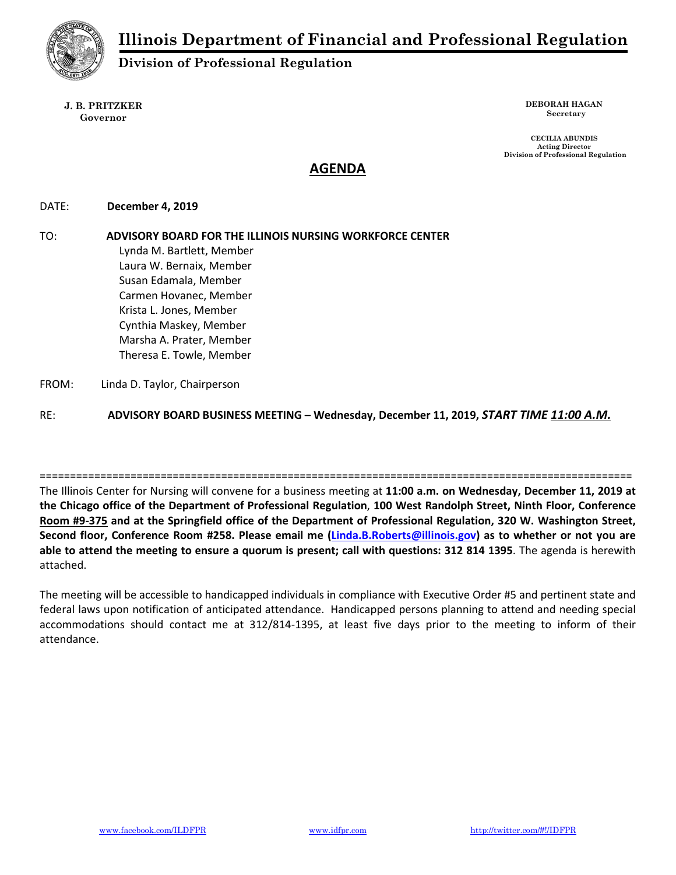

# Division of Professional Regulation

#### J. B. PRITZKER Governor

DEBORAH HAGAN Secretary

CECILIA ABUNDIS Acting Director Division of Professional Regulation

## AGENDA

### DATE: December 4, 2019

# TO: ADVISORY BOARD FOR THE ILLINOIS NURSING WORKFORCE CENTER Lynda M. Bartlett, Member Laura W. Bernaix, Member Susan Edamala, Member

Carmen Hovanec, Member Krista L. Jones, Member Cynthia Maskey, Member Marsha A. Prater, Member Theresa E. Towle, Member

### FROM: Linda D. Taylor, Chairperson

RE: ADVISORY BOARD BUSINESS MEETING - Wednesday, December 11, 2019, START TIME 11:00 A.M.

==================================================================================================

The Illinois Center for Nursing will convene for a business meeting at 11:00 a.m. on Wednesday, December 11, 2019 at the Chicago office of the Department of Professional Regulation, 100 West Randolph Street, Ninth Floor, Conference Room #9-375 and at the Springfield office of the Department of Professional Regulation, 320 W. Washington Street, Second floor, Conference Room #258. Please email me (Linda.B.Roberts@illinois.gov) as to whether or not you are able to attend the meeting to ensure a quorum is present; call with questions: 312 814 1395. The agenda is herewith attached.

The meeting will be accessible to handicapped individuals in compliance with Executive Order #5 and pertinent state and federal laws upon notification of anticipated attendance. Handicapped persons planning to attend and needing special accommodations should contact me at 312/814-1395, at least five days prior to the meeting to inform of their attendance.